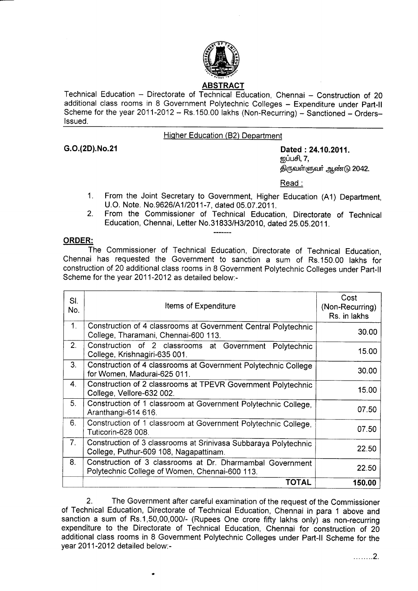

Technical Education - Directorate of Technical Education, Chennai - Construction of 20 additional class rooms in 8 Government Polytechnic Colleges - Expenditure under Part-II Scheme for the year 2011-2012 - Rs.150.00 lakhs (Non-Recurring) - Sanctioned - Orders-Issued.

## Hiqher Education (82) Department

G.O.(2D).No.21 Dated : 24.10.2011. றுப்பசி,  $7$ , திருவள்ளுவர் ஆண்டு 2042.

Read :

- 1. From the Joint Secretary to Government, Higher Education (A1) Department, U.O. Note. No.9626/A1/2011-7, dated 05.07.2011.
- 2. From the Commissioner of Technical Education, Directorate of Technical Education, Chennai, Letter No.31 8331H312010, dated 25.05.2011.

## ORDER:

The Commissioner of Technical Education, Directorate of Technical Education, Chennai has requested the Government to sanction a sum of Rs.150.00 lakhs for construction of 20 additional class rooms in 8 Government Polytechnic Colleges under Part-II Scheme for the year 2011-2012 as detailed below.-

| SI.<br>No.     | Items of Expenditure                                                                                        | Cost<br>(Non-Recurring)<br>Rs. in lakhs |
|----------------|-------------------------------------------------------------------------------------------------------------|-----------------------------------------|
| 1 <sub>1</sub> | Construction of 4 classrooms at Government Central Polytechnic<br>College, Tharamani, Chennai-600 113.      | 30.00                                   |
| 2.             | Construction of 2 classrooms at Government Polytechnic<br>College, Krishnagiri-635 001.                     | 15.00                                   |
| 3.             | Construction of 4 classrooms at Government Polytechnic College<br>for Women, Madurai-625 011.               | 30.00                                   |
| 4.             | Construction of 2 classrooms at TPEVR Government Polytechnic<br>College, Vellore-632 002.                   | 15.00                                   |
| 5 <sub>1</sub> | Construction of 1 classroom at Government Polytechnic College,<br>Aranthangi-614 616.                       | 07.50                                   |
| 6.             | Construction of 1 classroom at Government Polytechnic College,<br>Tuticorin-628 008.                        | 07.50                                   |
| 7 <sub>1</sub> | Construction of 3 classrooms at Srinivasa Subbaraya Polytechnic<br>College, Puthur-609 108, Nagapattinam.   | 22.50                                   |
| 8.             | Construction of 3 classrooms at Dr. Dharmambal Government<br>Polytechnic College of Women, Chennai-600 113. | 22.50                                   |
|                | TOTAL                                                                                                       | 150.00                                  |

2. The Government after careful examination of the request of the Commissioner of Technical Education, Directorate of Technical Education, Chennai in para 1 above and sanction a sum of Rs.1,50,00,000/- (Rupees One crore fifty lakhs only) as non-recurring expenditure to the Directorate of Technical Education, Chennai for construction of 20 additional class rooms in 8 Government Polytechnic Colleges under Part-ll Scheme for the year 2011-2012 detailed below:-